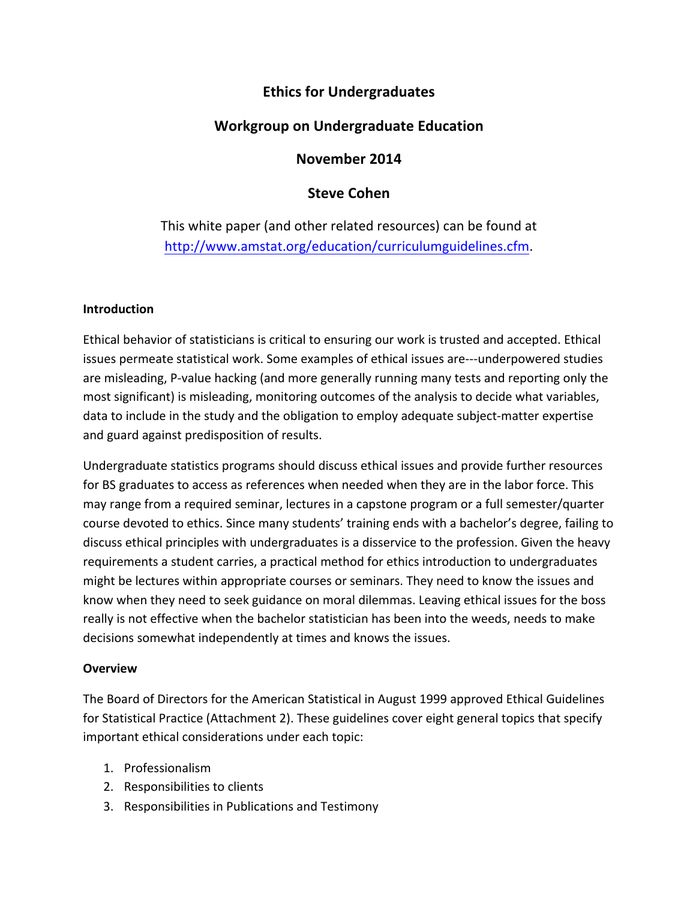# **Ethics for Undergraduates**

# **Workgroup on Undergraduate Education**

# **November 2014**

## **Steve Cohen**

This white paper (and other related resources) can be found at http://www.amstat.org/education/curriculumguidelines.cfm.

### **Introduction**

Ethical behavior of statisticians is critical to ensuring our work is trusted and accepted. Ethical issues permeate statistical work. Some examples of ethical issues are---underpowered studies are misleading, P-value hacking (and more generally running many tests and reporting only the most significant) is misleading, monitoring outcomes of the analysis to decide what variables, data to include in the study and the obligation to employ adequate subject-matter expertise and guard against predisposition of results.

Undergraduate statistics programs should discuss ethical issues and provide further resources for BS graduates to access as references when needed when they are in the labor force. This may range from a required seminar, lectures in a capstone program or a full semester/quarter course devoted to ethics. Since many students' training ends with a bachelor's degree, failing to discuss ethical principles with undergraduates is a disservice to the profession. Given the heavy requirements a student carries, a practical method for ethics introduction to undergraduates might be lectures within appropriate courses or seminars. They need to know the issues and know when they need to seek guidance on moral dilemmas. Leaving ethical issues for the boss really is not effective when the bachelor statistician has been into the weeds, needs to make decisions somewhat independently at times and knows the issues.

### **Overview**

The Board of Directors for the American Statistical in August 1999 approved Ethical Guidelines for Statistical Practice (Attachment 2). These guidelines cover eight general topics that specify important ethical considerations under each topic:

- 1. Professionalism
- 2. Responsibilities to clients
- 3. Responsibilities in Publications and Testimony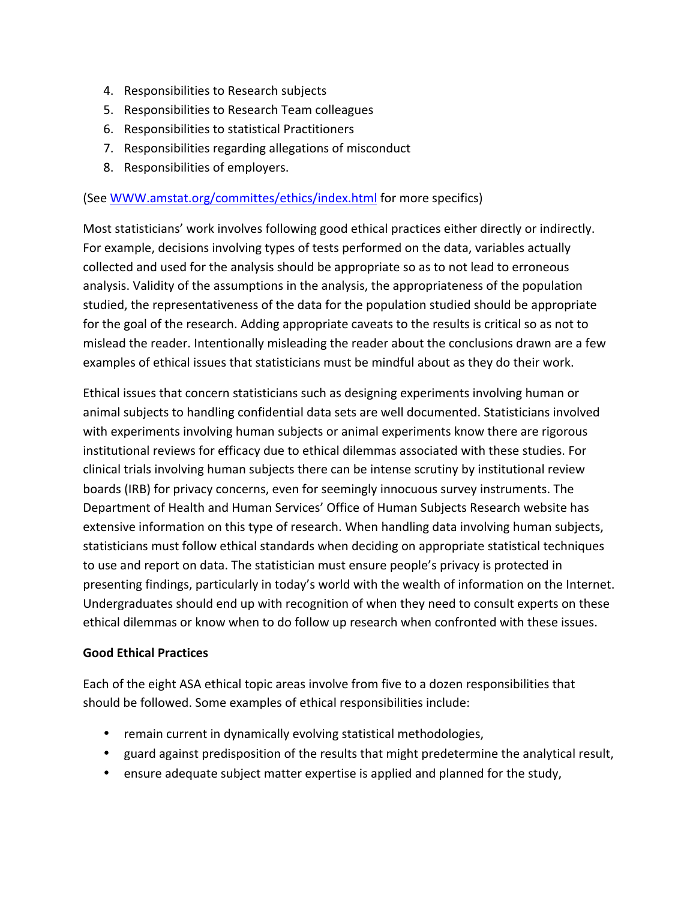- 4. Responsibilities to Research subjects
- 5. Responsibilities to Research Team colleagues
- 6. Responsibilities to statistical Practitioners
- 7. Responsibilities regarding allegations of misconduct
- 8. Responsibilities of employers.

### (See WWW.amstat.org/committes/ethics/index.html for more specifics)

Most statisticians' work involves following good ethical practices either directly or indirectly. For example, decisions involving types of tests performed on the data, variables actually collected and used for the analysis should be appropriate so as to not lead to erroneous analysis. Validity of the assumptions in the analysis, the appropriateness of the population studied, the representativeness of the data for the population studied should be appropriate for the goal of the research. Adding appropriate caveats to the results is critical so as not to mislead the reader. Intentionally misleading the reader about the conclusions drawn are a few examples of ethical issues that statisticians must be mindful about as they do their work.

Ethical issues that concern statisticians such as designing experiments involving human or animal subjects to handling confidential data sets are well documented. Statisticians involved with experiments involving human subjects or animal experiments know there are rigorous institutional reviews for efficacy due to ethical dilemmas associated with these studies. For clinical trials involving human subjects there can be intense scrutiny by institutional review boards (IRB) for privacy concerns, even for seemingly innocuous survey instruments. The Department of Health and Human Services' Office of Human Subjects Research website has extensive information on this type of research. When handling data involving human subjects, statisticians must follow ethical standards when deciding on appropriate statistical techniques to use and report on data. The statistician must ensure people's privacy is protected in presenting findings, particularly in today's world with the wealth of information on the Internet. Undergraduates should end up with recognition of when they need to consult experts on these ethical dilemmas or know when to do follow up research when confronted with these issues.

### **Good Ethical Practices**

Each of the eight ASA ethical topic areas involve from five to a dozen responsibilities that should be followed. Some examples of ethical responsibilities include:

- remain current in dynamically evolving statistical methodologies,
- guard against predisposition of the results that might predetermine the analytical result,
- ensure adequate subject matter expertise is applied and planned for the study,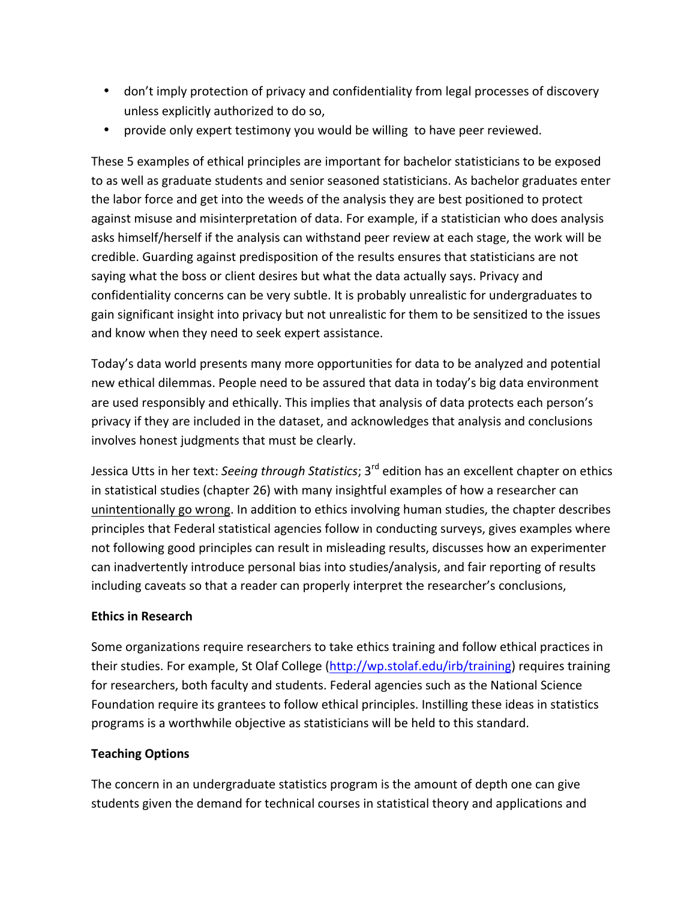- don't imply protection of privacy and confidentiality from legal processes of discovery unless explicitly authorized to do so,
- provide only expert testimony you would be willing to have peer reviewed.

These 5 examples of ethical principles are important for bachelor statisticians to be exposed to as well as graduate students and senior seasoned statisticians. As bachelor graduates enter the labor force and get into the weeds of the analysis they are best positioned to protect against misuse and misinterpretation of data. For example, if a statistician who does analysis asks himself/herself if the analysis can withstand peer review at each stage, the work will be credible. Guarding against predisposition of the results ensures that statisticians are not saying what the boss or client desires but what the data actually says. Privacy and confidentiality concerns can be very subtle. It is probably unrealistic for undergraduates to gain significant insight into privacy but not unrealistic for them to be sensitized to the issues and know when they need to seek expert assistance.

Today's data world presents many more opportunities for data to be analyzed and potential new ethical dilemmas. People need to be assured that data in today's big data environment are used responsibly and ethically. This implies that analysis of data protects each person's privacy if they are included in the dataset, and acknowledges that analysis and conclusions involves honest judgments that must be clearly.

Jessica Utts in her text: Seeing through Statistics; 3<sup>rd</sup> edition has an excellent chapter on ethics in statistical studies (chapter 26) with many insightful examples of how a researcher can unintentionally go wrong. In addition to ethics involving human studies, the chapter describes principles that Federal statistical agencies follow in conducting surveys, gives examples where not following good principles can result in misleading results, discusses how an experimenter can inadvertently introduce personal bias into studies/analysis, and fair reporting of results including caveats so that a reader can properly interpret the researcher's conclusions,

### **Ethics in Research**

Some organizations require researchers to take ethics training and follow ethical practices in their studies. For example, St Olaf College (http://wp.stolaf.edu/irb/training) requires training for researchers, both faculty and students. Federal agencies such as the National Science Foundation require its grantees to follow ethical principles. Instilling these ideas in statistics programs is a worthwhile objective as statisticians will be held to this standard.

### **Teaching Options**

The concern in an undergraduate statistics program is the amount of depth one can give students given the demand for technical courses in statistical theory and applications and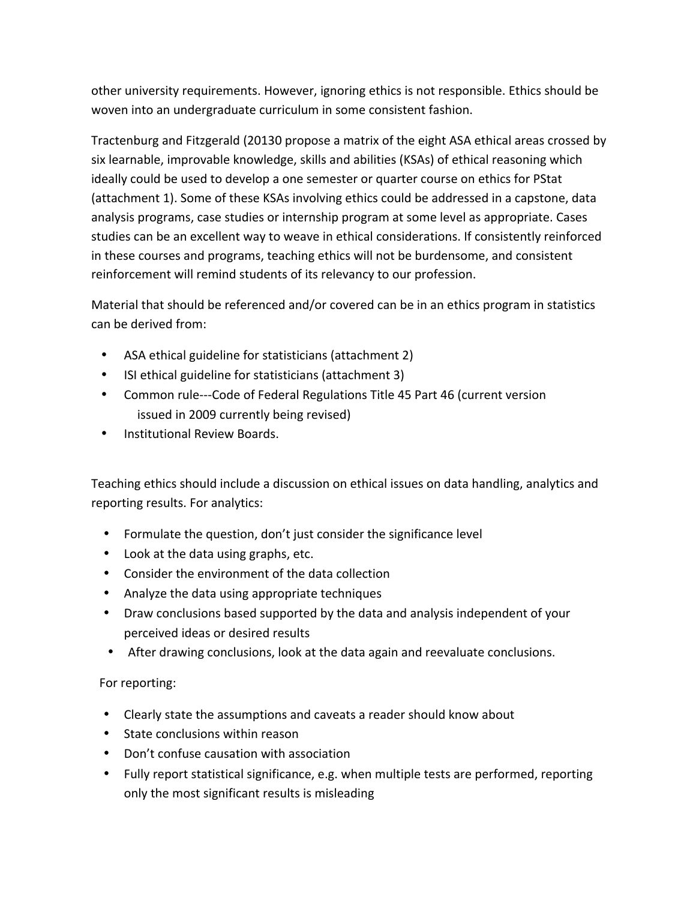other university requirements. However, ignoring ethics is not responsible. Ethics should be woven into an undergraduate curriculum in some consistent fashion.

Tractenburg and Fitzgerald (20130 propose a matrix of the eight ASA ethical areas crossed by six learnable, improvable knowledge, skills and abilities (KSAs) of ethical reasoning which ideally could be used to develop a one semester or quarter course on ethics for PStat (attachment 1). Some of these KSAs involving ethics could be addressed in a capstone, data analysis programs, case studies or internship program at some level as appropriate. Cases studies can be an excellent way to weave in ethical considerations. If consistently reinforced in these courses and programs, teaching ethics will not be burdensome, and consistent reinforcement will remind students of its relevancy to our profession.

Material that should be referenced and/or covered can be in an ethics program in statistics can be derived from:

- ASA ethical guideline for statisticians (attachment 2)
- ISI ethical guideline for statisticians (attachment 3)
- Common rule---Code of Federal Regulations Title 45 Part 46 (current version issued in 2009 currently being revised)
- Institutional Review Boards.

Teaching ethics should include a discussion on ethical issues on data handling, analytics and reporting results. For analytics:

- Formulate the question, don't just consider the significance level
- Look at the data using graphs, etc.
- Consider the environment of the data collection
- Analyze the data using appropriate techniques
- Draw conclusions based supported by the data and analysis independent of your perceived ideas or desired results
- After drawing conclusions, look at the data again and reevaluate conclusions.

For reporting:

- Clearly state the assumptions and caveats a reader should know about
- State conclusions within reason
- Don't confuse causation with association
- Fully report statistical significance, e.g. when multiple tests are performed, reporting only the most significant results is misleading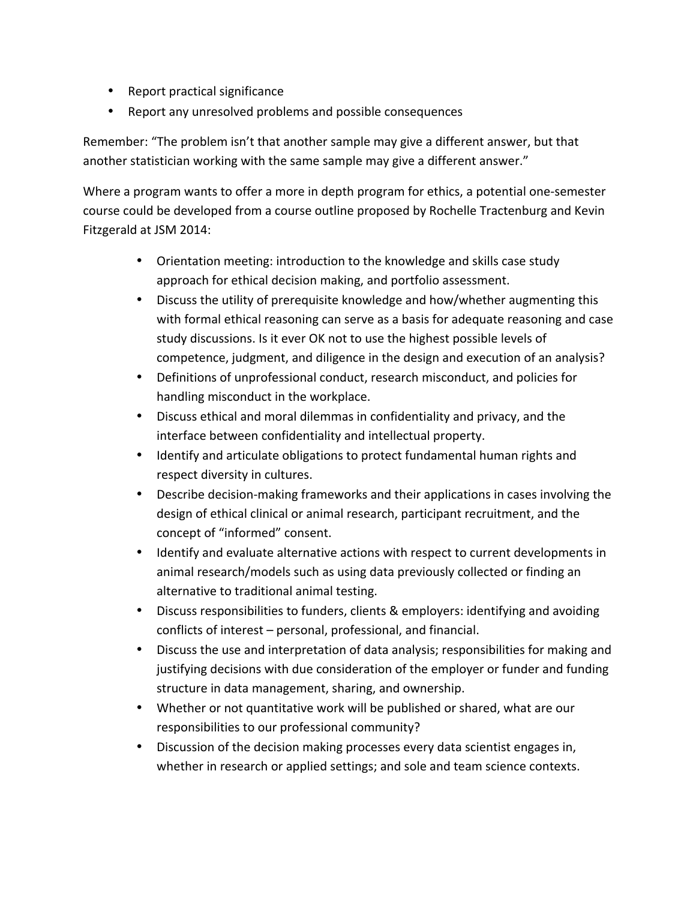- Report practical significance
- Report any unresolved problems and possible consequences

Remember: "The problem isn't that another sample may give a different answer, but that another statistician working with the same sample may give a different answer."

Where a program wants to offer a more in depth program for ethics, a potential one-semester course could be developed from a course outline proposed by Rochelle Tractenburg and Kevin Fitzgerald at JSM 2014:

- Orientation meeting: introduction to the knowledge and skills case study approach for ethical decision making, and portfolio assessment.
- Discuss the utility of prerequisite knowledge and how/whether augmenting this with formal ethical reasoning can serve as a basis for adequate reasoning and case study discussions. Is it ever OK not to use the highest possible levels of competence, judgment, and diligence in the design and execution of an analysis?
- Definitions of unprofessional conduct, research misconduct, and policies for handling misconduct in the workplace.
- Discuss ethical and moral dilemmas in confidentiality and privacy, and the interface between confidentiality and intellectual property.
- Identify and articulate obligations to protect fundamental human rights and respect diversity in cultures.
- Describe decision-making frameworks and their applications in cases involving the design of ethical clinical or animal research, participant recruitment, and the concept of "informed" consent.
- Identify and evaluate alternative actions with respect to current developments in animal research/models such as using data previously collected or finding an alternative to traditional animal testing.
- Discuss responsibilities to funders, clients & employers: identifying and avoiding conflicts of interest - personal, professional, and financial.
- Discuss the use and interpretation of data analysis; responsibilities for making and justifying decisions with due consideration of the employer or funder and funding structure in data management, sharing, and ownership.
- Whether or not quantitative work will be published or shared, what are our responsibilities to our professional community?
- Discussion of the decision making processes every data scientist engages in, whether in research or applied settings; and sole and team science contexts.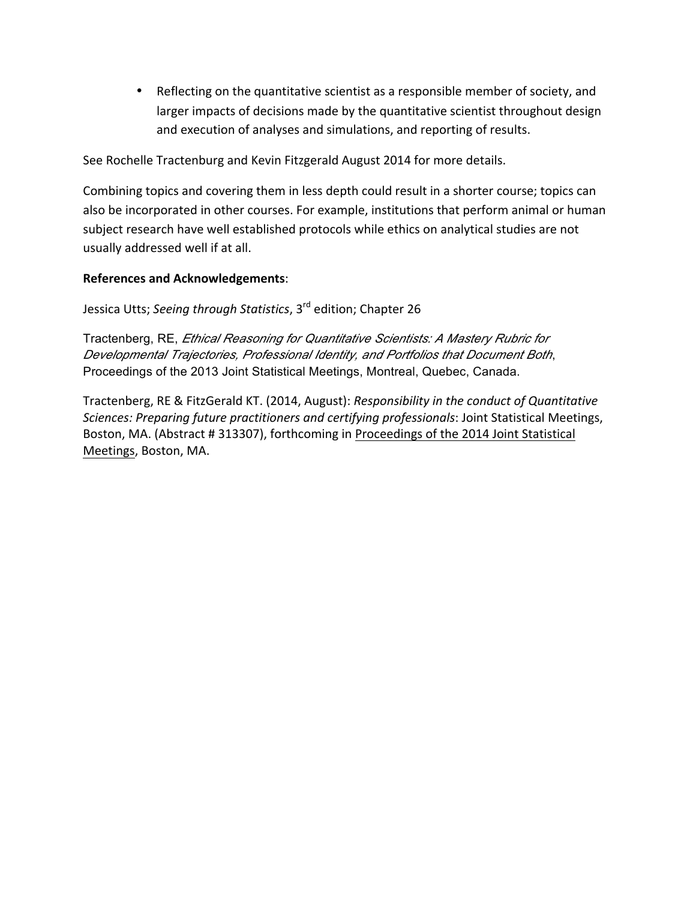• Reflecting on the quantitative scientist as a responsible member of society, and larger impacts of decisions made by the quantitative scientist throughout design and execution of analyses and simulations, and reporting of results.

See Rochelle Tractenburg and Kevin Fitzgerald August 2014 for more details.

Combining topics and covering them in less depth could result in a shorter course; topics can also be incorporated in other courses. For example, institutions that perform animal or human subject research have well established protocols while ethics on analytical studies are not usually addressed well if at all.

### **References and Acknowledgements**:

Jessica Utts; Seeing through Statistics, 3<sup>rd</sup> edition; Chapter 26

Tractenberg, RE, *Ethical Reasoning for Quantitative Scientists: A Mastery Rubric for Developmental Trajectories, Professional Identity, and Portfolios that Document Both*, Proceedings of the 2013 Joint Statistical Meetings, Montreal, Quebec, Canada.

Tractenberg, RE & FitzGerald KT. (2014, August): *Responsibility in the conduct of Quantitative Sciences: Preparing future practitioners and certifying professionals: Joint Statistical Meetings,* Boston, MA. (Abstract # 313307), forthcoming in Proceedings of the 2014 Joint Statistical Meetings, Boston, MA.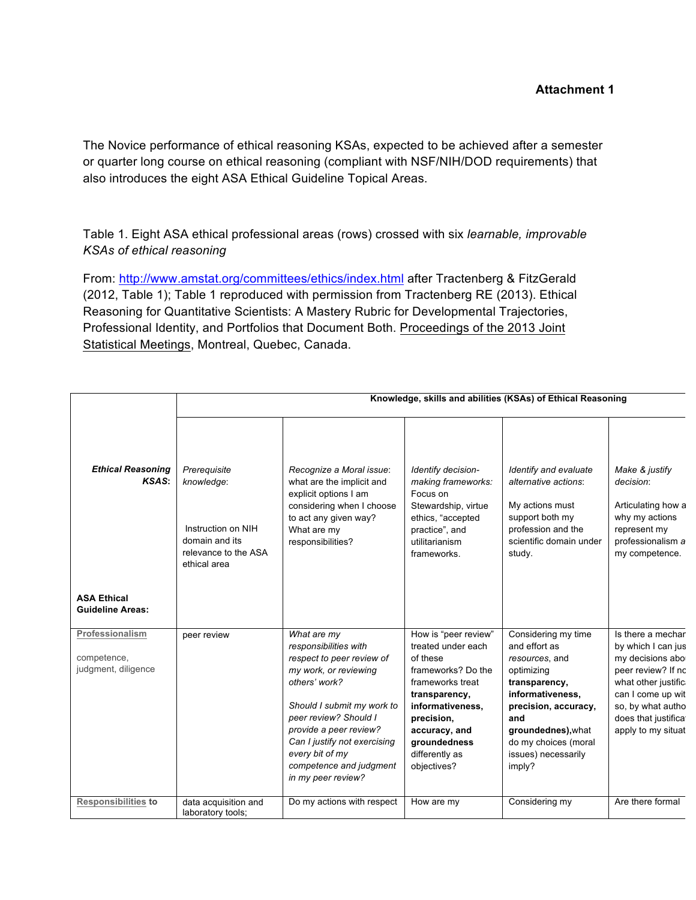### **Attachment 1**

The Novice performance of ethical reasoning KSAs, expected to be achieved after a semester or quarter long course on ethical reasoning (compliant with NSF/NIH/DOD requirements) that also introduces the eight ASA Ethical Guideline Topical Areas.

Table 1. Eight ASA ethical professional areas (rows) crossed with six *learnable, improvable KSAs of ethical reasoning*

From: http://www.amstat.org/committees/ethics/index.html after Tractenberg & FitzGerald (2012, Table 1); Table 1 reproduced with permission from Tractenberg RE (2013). Ethical Reasoning for Quantitative Scientists: A Mastery Rubric for Developmental Trajectories, Professional Identity, and Portfolios that Document Both. Proceedings of the 2013 Joint Statistical Meetings, Montreal, Quebec, Canada.

|                                                       | Knowledge, skills and abilities (KSAs) of Ethical Reasoning                                                |                                                                                                                                                                                                                                                                                                  |                                                                                                                                                                                                                       |                                                                                                                                                                                                                         |                                                                                                                                                                                                 |  |  |
|-------------------------------------------------------|------------------------------------------------------------------------------------------------------------|--------------------------------------------------------------------------------------------------------------------------------------------------------------------------------------------------------------------------------------------------------------------------------------------------|-----------------------------------------------------------------------------------------------------------------------------------------------------------------------------------------------------------------------|-------------------------------------------------------------------------------------------------------------------------------------------------------------------------------------------------------------------------|-------------------------------------------------------------------------------------------------------------------------------------------------------------------------------------------------|--|--|
| <b>Ethical Reasoning</b><br><b>KSAS:</b>              | Prerequisite<br>knowledge:<br>Instruction on NIH<br>domain and its<br>relevance to the ASA<br>ethical area | Recognize a Moral issue:<br>what are the implicit and<br>explicit options I am<br>considering when I choose<br>to act any given way?<br>What are my<br>responsibilities?                                                                                                                         | Identify decision-<br>making frameworks:<br>Focus on<br>Stewardship, virtue<br>ethics, "accepted<br>practice", and<br>utilitarianism<br>frameworks.                                                                   | Identify and evaluate<br>alternative actions:<br>My actions must<br>support both my<br>profession and the<br>scientific domain under<br>study.                                                                          | Make & justify<br>decision:<br>Articulating how a<br>why my actions<br>represent my<br>professionalism a<br>my competence.                                                                      |  |  |
| <b>ASA Ethical</b><br><b>Guideline Areas:</b>         |                                                                                                            |                                                                                                                                                                                                                                                                                                  |                                                                                                                                                                                                                       |                                                                                                                                                                                                                         |                                                                                                                                                                                                 |  |  |
| Professionalism<br>competence,<br>judgment, diligence | peer review                                                                                                | What are my<br>responsibilities with<br>respect to peer review of<br>my work, or reviewing<br>others' work?<br>Should I submit my work to<br>peer review? Should I<br>provide a peer review?<br>Can I justify not exercising<br>every bit of my<br>competence and judgment<br>in my peer review? | How is "peer review"<br>treated under each<br>of these<br>frameworks? Do the<br>frameworks treat<br>transparency,<br>informativeness,<br>precision,<br>accuracy, and<br>groundedness<br>differently as<br>objectives? | Considering my time<br>and effort as<br>resources, and<br>optimizing<br>transparency,<br>informativeness,<br>precision, accuracy,<br>and<br>groundednes), what<br>do my choices (moral<br>issues) necessarily<br>imply? | Is there a mechar<br>by which I can jus<br>my decisions abo<br>peer review? If nc<br>what other justific<br>can I come up wit<br>so, by what autho<br>does that justifica<br>apply to my situat |  |  |
| <b>Responsibilities to</b>                            | data acquisition and<br>laboratory tools;                                                                  | Do my actions with respect                                                                                                                                                                                                                                                                       | How are my                                                                                                                                                                                                            | Considering my                                                                                                                                                                                                          | Are there formal                                                                                                                                                                                |  |  |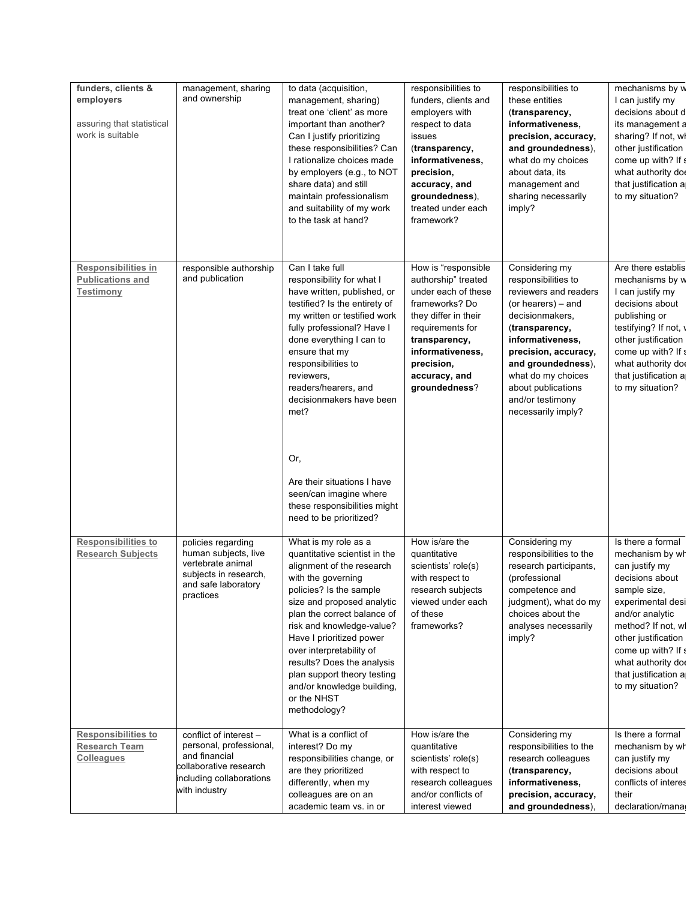| funders, clients &<br>employers<br>assuring that statistical<br>work is suitable | management, sharing<br>and ownership                                                                                                      | to data (acquisition,<br>management, sharing)<br>treat one 'client' as more<br>important than another?<br>Can I justify prioritizing<br>these responsibilities? Can<br>I rationalize choices made<br>by employers (e.g., to NOT<br>share data) and still<br>maintain professionalism<br>and suitability of my work<br>to the task at hand?                                                                                                           | responsibilities to<br>funders, clients and<br>employers with<br>respect to data<br>issues<br>(transparency,<br>informativeness,<br>precision,<br>accuracy, and<br>groundedness),<br>treated under each<br>framework? | responsibilities to<br>these entities<br>(transparency,<br>informativeness,<br>precision, accuracy,<br>and groundedness),<br>what do my choices<br>about data, its<br>management and<br>sharing necessarily<br>imply?                                                             | mechanisms by w<br>I can justify my<br>decisions about d<br>its management a<br>sharing? If not, wl<br>other justification<br>come up with? If a<br>what authority dor<br>that justification a<br>to my situation?                                                     |
|----------------------------------------------------------------------------------|-------------------------------------------------------------------------------------------------------------------------------------------|------------------------------------------------------------------------------------------------------------------------------------------------------------------------------------------------------------------------------------------------------------------------------------------------------------------------------------------------------------------------------------------------------------------------------------------------------|-----------------------------------------------------------------------------------------------------------------------------------------------------------------------------------------------------------------------|-----------------------------------------------------------------------------------------------------------------------------------------------------------------------------------------------------------------------------------------------------------------------------------|------------------------------------------------------------------------------------------------------------------------------------------------------------------------------------------------------------------------------------------------------------------------|
| Responsibilities in<br><b>Publications and</b><br><b>Testimony</b>               | responsible authorship<br>and publication                                                                                                 | Can I take full<br>responsibility for what I<br>have written, published, or<br>testified? Is the entirety of<br>my written or testified work<br>fully professional? Have I<br>done everything I can to<br>ensure that my<br>responsibilities to<br>reviewers,<br>readers/hearers, and<br>decisionmakers have been<br>met?<br>Or,<br>Are their situations I have<br>seen/can imagine where<br>these responsibilities might<br>need to be prioritized? | How is "responsible<br>authorship" treated<br>under each of these<br>frameworks? Do<br>they differ in their<br>requirements for<br>transparency,<br>informativeness,<br>precision,<br>accuracy, and<br>groundedness?  | Considering my<br>responsibilities to<br>reviewers and readers<br>(or hearers) – and<br>decisionmakers,<br>(transparency,<br>informativeness,<br>precision, accuracy,<br>and groundedness),<br>what do my choices<br>about publications<br>and/or testimony<br>necessarily imply? | Are there establis<br>mechanisms by w<br>I can justify my<br>decisions about<br>publishing or<br>testifying? If not, \<br>other justification<br>come up with? If a<br>what authority do<br>that justification a<br>to my situation?                                   |
| Responsibilities to<br><b>Research Subjects</b>                                  | policies regarding<br>human subjects, live<br>vertebrate animal<br>subjects in research,<br>and safe laboratory<br>practices              | What is my role as a<br>quantitative scientist in the<br>alignment of the research<br>with the governing<br>policies? Is the sample<br>size and proposed analytic<br>plan the correct balance of<br>risk and knowledge-value?<br>Have I prioritized power<br>over interpretability of<br>results? Does the analysis<br>plan support theory testing<br>and/or knowledge building,<br>or the NHST<br>methodology?                                      | How is/are the<br>quantitative<br>scientists' role(s)<br>with respect to<br>research subjects<br>viewed under each<br>of these<br>frameworks?                                                                         | Considering my<br>responsibilities to the<br>research participants,<br>(professional<br>competence and<br>judgment), what do my<br>choices about the<br>analyses necessarily<br>imply?                                                                                            | Is there a formal<br>mechanism by wh<br>can justify my<br>decisions about<br>sample size,<br>experimental desi<br>and/or analytic<br>method? If not, wl<br>other justification<br>come up with? If a<br>what authority dor<br>that justification a<br>to my situation? |
| Responsibilities to<br><b>Research Team</b><br>Colleagues                        | conflict of interest -<br>personal, professional,<br>and financial<br>collaborative research<br>including collaborations<br>with industry | What is a conflict of<br>interest? Do my<br>responsibilities change, or<br>are they prioritized<br>differently, when my<br>colleagues are on an<br>academic team vs. in or                                                                                                                                                                                                                                                                           | How is/are the<br>quantitative<br>scientists' role(s)<br>with respect to<br>research colleagues<br>and/or conflicts of<br>interest viewed                                                                             | Considering my<br>responsibilities to the<br>research colleagues<br>(transparency,<br>informativeness,<br>precision, accuracy,<br>and groundedness),                                                                                                                              | Is there a formal<br>mechanism by wh<br>can justify my<br>decisions about<br>conflicts of interes<br>their<br>declaration/mana                                                                                                                                         |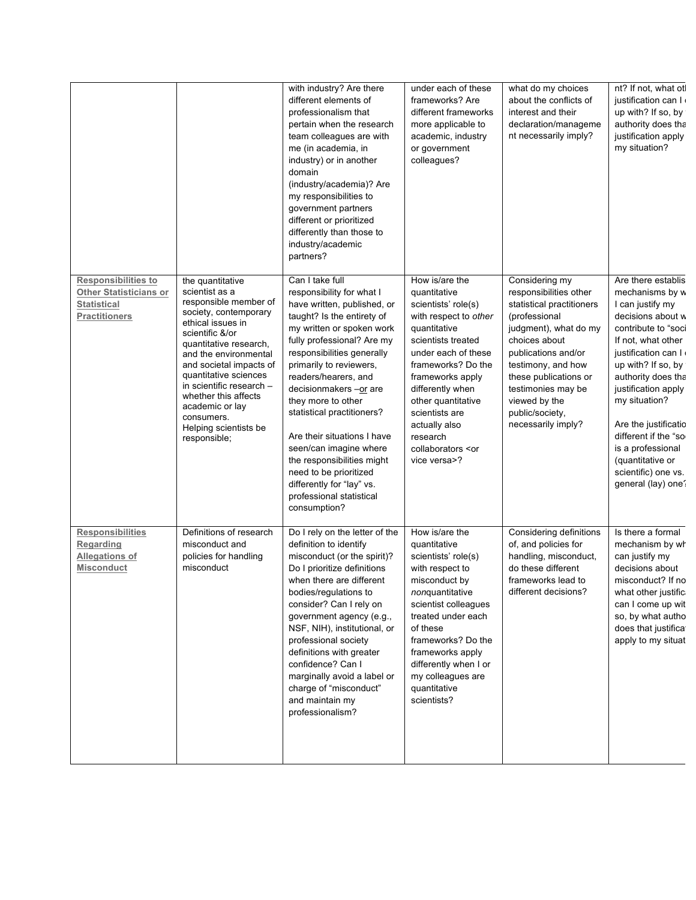|                                                                                                           |                                                                                                                                                                                                                                                                                                                                                                   | with industry? Are there<br>different elements of<br>professionalism that<br>pertain when the research<br>team colleagues are with<br>me (in academia, in<br>industry) or in another<br>domain<br>(industry/academia)? Are<br>my responsibilities to<br>government partners<br>different or prioritized<br>differently than those to<br>industry/academic<br>partners?                                                                                                                                                        | under each of these<br>frameworks? Are<br>different frameworks<br>more applicable to<br>academic, industry<br>or government<br>colleagues?                                                                                                                                                                                     | what do my choices<br>about the conflicts of<br>interest and their<br>declaration/manageme<br>nt necessarily imply?                                                                                                                                                                    | nt? If not, what otl<br>justification can I<br>up with? If so, by<br>authority does tha<br>justification apply<br>my situation?                                                                                                                                                                                                                                              |
|-----------------------------------------------------------------------------------------------------------|-------------------------------------------------------------------------------------------------------------------------------------------------------------------------------------------------------------------------------------------------------------------------------------------------------------------------------------------------------------------|-------------------------------------------------------------------------------------------------------------------------------------------------------------------------------------------------------------------------------------------------------------------------------------------------------------------------------------------------------------------------------------------------------------------------------------------------------------------------------------------------------------------------------|--------------------------------------------------------------------------------------------------------------------------------------------------------------------------------------------------------------------------------------------------------------------------------------------------------------------------------|----------------------------------------------------------------------------------------------------------------------------------------------------------------------------------------------------------------------------------------------------------------------------------------|------------------------------------------------------------------------------------------------------------------------------------------------------------------------------------------------------------------------------------------------------------------------------------------------------------------------------------------------------------------------------|
| <b>Responsibilities to</b><br><b>Other Statisticians or</b><br><b>Statistical</b><br><b>Practitioners</b> | the quantitative<br>scientist as a<br>responsible member of<br>society, contemporary<br>ethical issues in<br>scientific &/or<br>quantitative research,<br>and the environmental<br>and societal impacts of<br>quantitative sciences<br>in scientific research -<br>whether this affects<br>academic or lay<br>consumers.<br>Helping scientists be<br>responsible; | Can I take full<br>responsibility for what I<br>have written, published, or<br>taught? Is the entirety of<br>my written or spoken work<br>fully professional? Are my<br>responsibilities generally<br>primarily to reviewers,<br>readers/hearers, and<br>decisionmakers -or are<br>they more to other<br>statistical practitioners?<br>Are their situations I have<br>seen/can imagine where<br>the responsibilities might<br>need to be prioritized<br>differently for "lay" vs.<br>professional statistical<br>consumption? | How is/are the<br>quantitative<br>scientists' role(s)<br>with respect to other<br>quantitative<br>scientists treated<br>under each of these<br>frameworks? Do the<br>frameworks apply<br>differently when<br>other quantitative<br>scientists are<br>actually also<br>research<br>collaborators <or<br>vice versa&gt;?</or<br> | Considering my<br>responsibilities other<br>statistical practitioners<br>(professional<br>judgment), what do my<br>choices about<br>publications and/or<br>testimony, and how<br>these publications or<br>testimonies may be<br>viewed by the<br>public/society,<br>necessarily imply? | Are there establis<br>mechanisms by w<br>I can justify my<br>decisions about w<br>contribute to "soci<br>If not, what other<br>justification can I<br>up with? If so, by<br>authority does tha<br>justification apply<br>my situation?<br>Are the justificatio<br>different if the "so<br>is a professional<br>(quantitative or<br>scientific) one vs.<br>general (lay) one? |
| <b>Responsibilities</b><br>Regarding<br>Allegations of<br><b>Misconduct</b>                               | Definitions of research<br>misconduct and<br>policies for handling<br>misconduct                                                                                                                                                                                                                                                                                  | Do I rely on the letter of the<br>definition to identify<br>misconduct (or the spirit)?<br>Do I prioritize definitions<br>when there are different<br>bodies/regulations to<br>consider? Can I rely on<br>government agency (e.g.,<br>NSF, NIH), institutional, or<br>professional society<br>definitions with greater<br>confidence? Can I<br>marginally avoid a label or<br>charge of "misconduct"<br>and maintain my<br>professionalism?                                                                                   | How is/are the<br>quantitative<br>scientists' role(s)<br>with respect to<br>misconduct by<br>nonquantitative<br>scientist colleagues<br>treated under each<br>of these<br>frameworks? Do the<br>frameworks apply<br>differently when I or<br>my colleagues are<br>quantitative<br>scientists?                                  | Considering definitions<br>of, and policies for<br>handling, misconduct,<br>do these different<br>frameworks lead to<br>different decisions?                                                                                                                                           | Is there a formal<br>mechanism by wh<br>can justify my<br>decisions about<br>misconduct? If no<br>what other justific<br>can I come up wit<br>so, by what autho<br>does that justifica<br>apply to my situat                                                                                                                                                                 |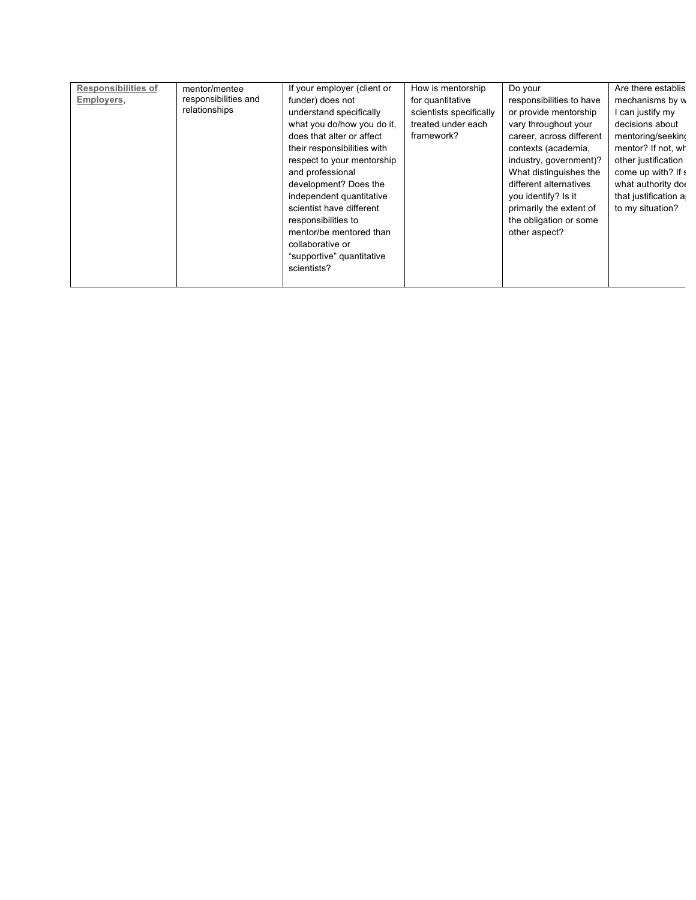| <b>Responsibilities of</b> | mentor/mentee        | If your employer (client or | How is mentorship       | Do your                  | Are there establis   |
|----------------------------|----------------------|-----------------------------|-------------------------|--------------------------|----------------------|
| Employers,                 | responsibilities and | funder) does not            | for quantitative        | responsibilities to have | mechanisms by w      |
|                            | relationships        | understand specifically     | scientists specifically | or provide mentorship    | l can justify my     |
|                            |                      | what you do/how you do it,  | treated under each      | vary throughout your     | decisions about      |
|                            |                      | does that alter or affect   | framework?              | career, across different | mentoring/seeking    |
|                            |                      | their responsibilities with |                         | contexts (academia,      | mentor? If not, wh   |
|                            |                      | respect to your mentorship  |                         | industry, government)?   | other justification  |
|                            |                      | and professional            |                         | What distinguishes the   | come up with? If a   |
|                            |                      | development? Does the       |                         | different alternatives   | what authority do    |
|                            |                      | independent quantitative    |                         | you identify? Is it      | that justification a |
|                            |                      | scientist have different    |                         | primarily the extent of  | to my situation?     |
|                            |                      | responsibilities to         |                         | the obligation or some   |                      |
|                            |                      | mentor/be mentored than     |                         | other aspect?            |                      |
|                            |                      | collaborative or            |                         |                          |                      |
|                            |                      | "supportive" quantitative   |                         |                          |                      |
|                            |                      | scientists?                 |                         |                          |                      |
|                            |                      |                             |                         |                          |                      |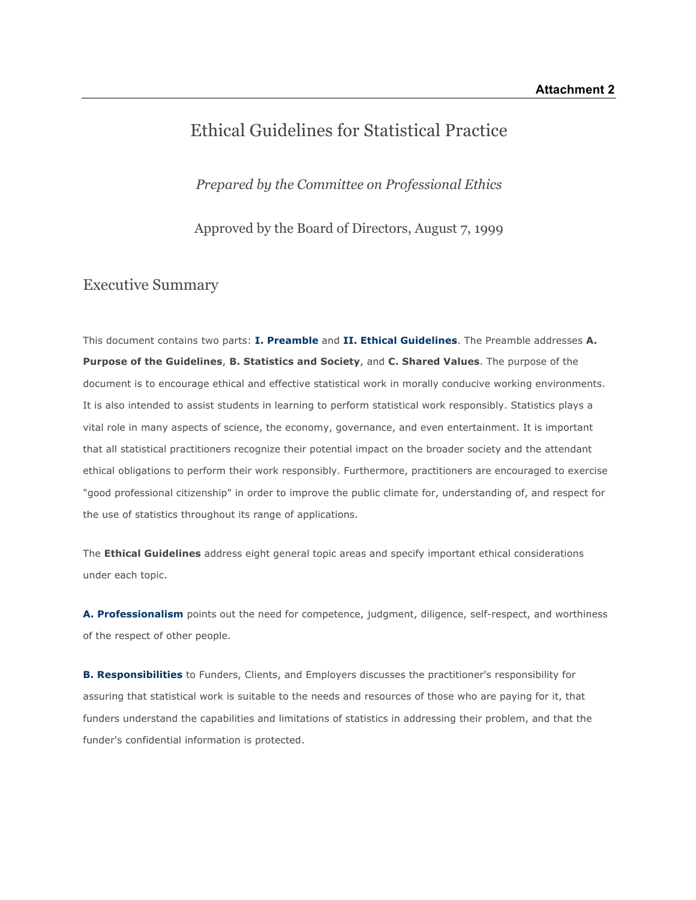# Ethical Guidelines for Statistical Practice

*Prepared by the Committee on Professional Ethics*

Approved by the Board of Directors, August 7, 1999

### Executive Summary

This document contains two parts: **I. Preamble** and **II. Ethical Guidelines**. The Preamble addresses **A. Purpose of the Guidelines**, **B. Statistics and Society**, and **C. Shared Values**. The purpose of the document is to encourage ethical and effective statistical work in morally conducive working environments. It is also intended to assist students in learning to perform statistical work responsibly. Statistics plays a vital role in many aspects of science, the economy, governance, and even entertainment. It is important that all statistical practitioners recognize their potential impact on the broader society and the attendant ethical obligations to perform their work responsibly. Furthermore, practitioners are encouraged to exercise "good professional citizenship" in order to improve the public climate for, understanding of, and respect for the use of statistics throughout its range of applications.

The **Ethical Guidelines** address eight general topic areas and specify important ethical considerations under each topic.

**A. Professionalism** points out the need for competence, judgment, diligence, self-respect, and worthiness of the respect of other people.

**B. Responsibilities** to Funders, Clients, and Employers discusses the practitioner's responsibility for assuring that statistical work is suitable to the needs and resources of those who are paying for it, that funders understand the capabilities and limitations of statistics in addressing their problem, and that the funder's confidential information is protected.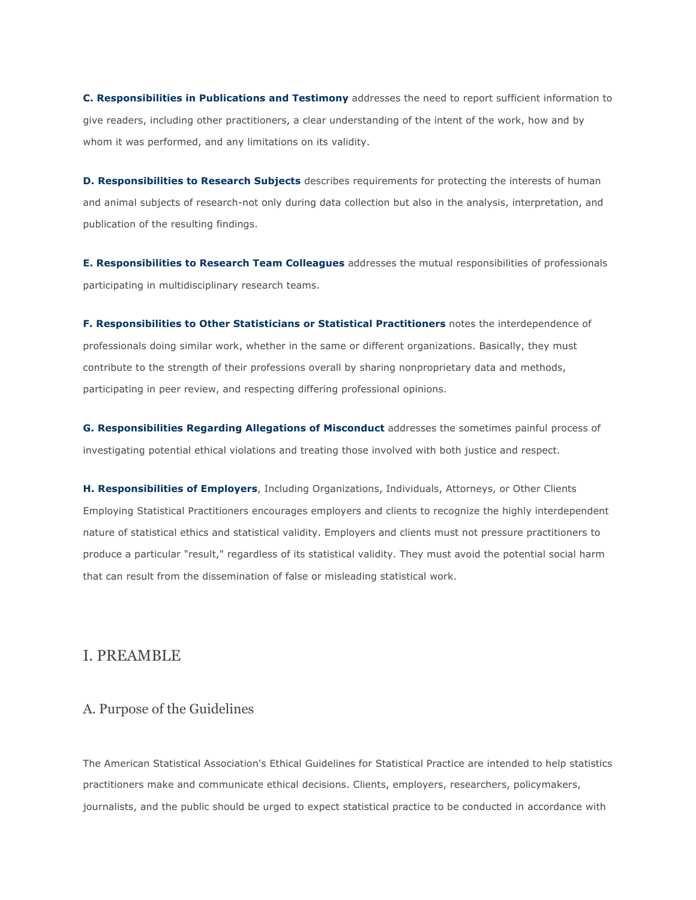**C. Responsibilities in Publications and Testimony** addresses the need to report sufficient information to give readers, including other practitioners, a clear understanding of the intent of the work, how and by whom it was performed, and any limitations on its validity.

**D. Responsibilities to Research Subjects** describes requirements for protecting the interests of human and animal subjects of research-not only during data collection but also in the analysis, interpretation, and publication of the resulting findings.

**E. Responsibilities to Research Team Colleagues** addresses the mutual responsibilities of professionals participating in multidisciplinary research teams.

**F. Responsibilities to Other Statisticians or Statistical Practitioners** notes the interdependence of professionals doing similar work, whether in the same or different organizations. Basically, they must contribute to the strength of their professions overall by sharing nonproprietary data and methods, participating in peer review, and respecting differing professional opinions.

**G. Responsibilities Regarding Allegations of Misconduct** addresses the sometimes painful process of investigating potential ethical violations and treating those involved with both justice and respect.

**H. Responsibilities of Employers**, Including Organizations, Individuals, Attorneys, or Other Clients Employing Statistical Practitioners encourages employers and clients to recognize the highly interdependent nature of statistical ethics and statistical validity. Employers and clients must not pressure practitioners to produce a particular "result," regardless of its statistical validity. They must avoid the potential social harm that can result from the dissemination of false or misleading statistical work.

### I. PREAMBLE

### A. Purpose of the Guidelines

The American Statistical Association's Ethical Guidelines for Statistical Practice are intended to help statistics practitioners make and communicate ethical decisions. Clients, employers, researchers, policymakers, journalists, and the public should be urged to expect statistical practice to be conducted in accordance with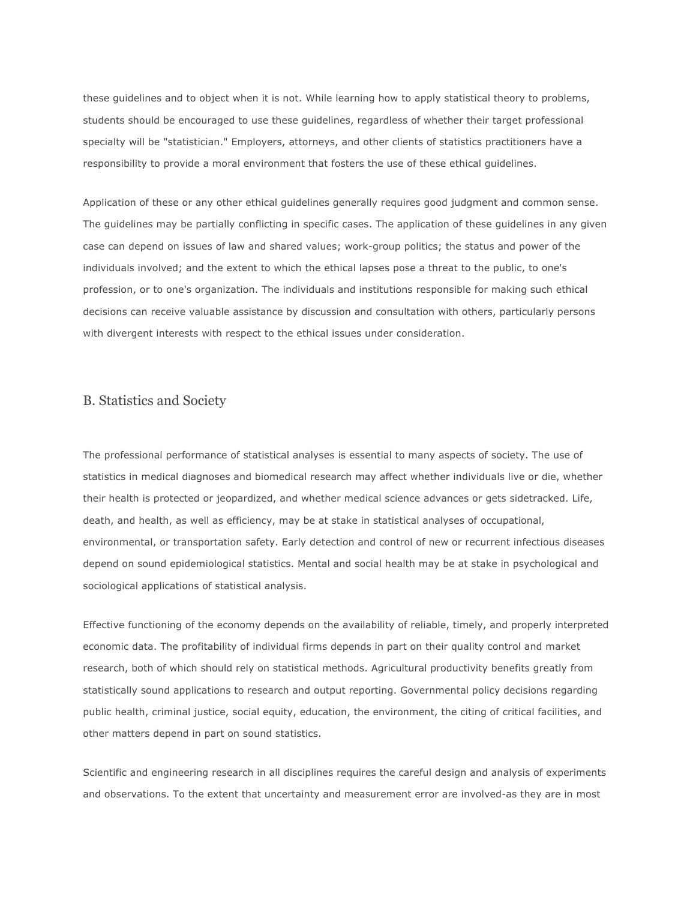these guidelines and to object when it is not. While learning how to apply statistical theory to problems, students should be encouraged to use these guidelines, regardless of whether their target professional specialty will be "statistician." Employers, attorneys, and other clients of statistics practitioners have a responsibility to provide a moral environment that fosters the use of these ethical guidelines.

Application of these or any other ethical guidelines generally requires good judgment and common sense. The guidelines may be partially conflicting in specific cases. The application of these guidelines in any given case can depend on issues of law and shared values; work-group politics; the status and power of the individuals involved; and the extent to which the ethical lapses pose a threat to the public, to one's profession, or to one's organization. The individuals and institutions responsible for making such ethical decisions can receive valuable assistance by discussion and consultation with others, particularly persons with divergent interests with respect to the ethical issues under consideration.

#### B. Statistics and Society

The professional performance of statistical analyses is essential to many aspects of society. The use of statistics in medical diagnoses and biomedical research may affect whether individuals live or die, whether their health is protected or jeopardized, and whether medical science advances or gets sidetracked. Life, death, and health, as well as efficiency, may be at stake in statistical analyses of occupational, environmental, or transportation safety. Early detection and control of new or recurrent infectious diseases depend on sound epidemiological statistics. Mental and social health may be at stake in psychological and sociological applications of statistical analysis.

Effective functioning of the economy depends on the availability of reliable, timely, and properly interpreted economic data. The profitability of individual firms depends in part on their quality control and market research, both of which should rely on statistical methods. Agricultural productivity benefits greatly from statistically sound applications to research and output reporting. Governmental policy decisions regarding public health, criminal justice, social equity, education, the environment, the citing of critical facilities, and other matters depend in part on sound statistics.

Scientific and engineering research in all disciplines requires the careful design and analysis of experiments and observations. To the extent that uncertainty and measurement error are involved-as they are in most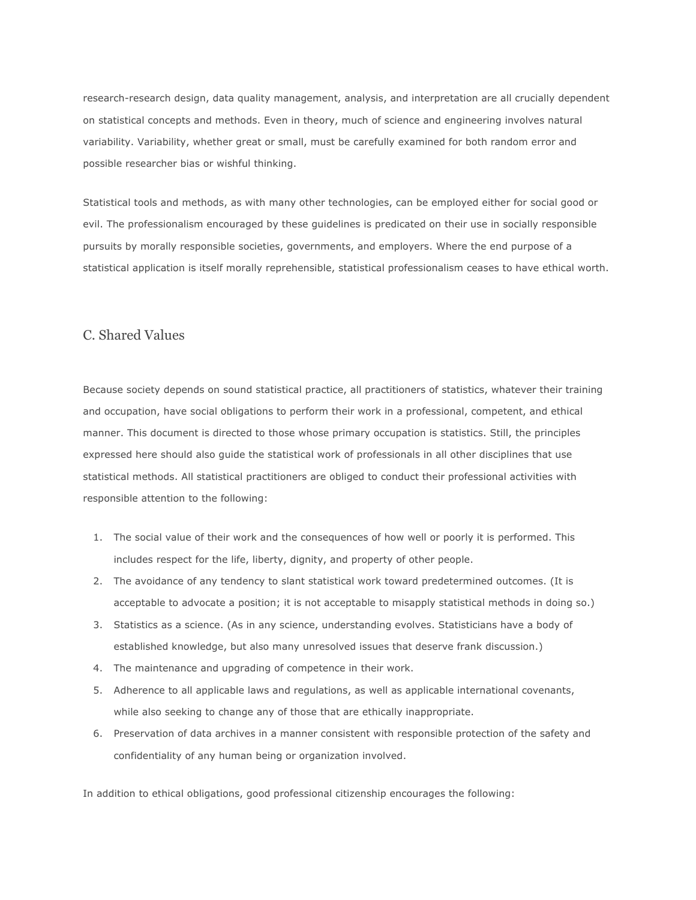research-research design, data quality management, analysis, and interpretation are all crucially dependent on statistical concepts and methods. Even in theory, much of science and engineering involves natural variability. Variability, whether great or small, must be carefully examined for both random error and possible researcher bias or wishful thinking.

Statistical tools and methods, as with many other technologies, can be employed either for social good or evil. The professionalism encouraged by these guidelines is predicated on their use in socially responsible pursuits by morally responsible societies, governments, and employers. Where the end purpose of a statistical application is itself morally reprehensible, statistical professionalism ceases to have ethical worth.

#### C. Shared Values

Because society depends on sound statistical practice, all practitioners of statistics, whatever their training and occupation, have social obligations to perform their work in a professional, competent, and ethical manner. This document is directed to those whose primary occupation is statistics. Still, the principles expressed here should also guide the statistical work of professionals in all other disciplines that use statistical methods. All statistical practitioners are obliged to conduct their professional activities with responsible attention to the following:

- 1. The social value of their work and the consequences of how well or poorly it is performed. This includes respect for the life, liberty, dignity, and property of other people.
- 2. The avoidance of any tendency to slant statistical work toward predetermined outcomes. (It is acceptable to advocate a position; it is not acceptable to misapply statistical methods in doing so.)
- 3. Statistics as a science. (As in any science, understanding evolves. Statisticians have a body of established knowledge, but also many unresolved issues that deserve frank discussion.)
- 4. The maintenance and upgrading of competence in their work.
- 5. Adherence to all applicable laws and regulations, as well as applicable international covenants, while also seeking to change any of those that are ethically inappropriate.
- 6. Preservation of data archives in a manner consistent with responsible protection of the safety and confidentiality of any human being or organization involved.

In addition to ethical obligations, good professional citizenship encourages the following: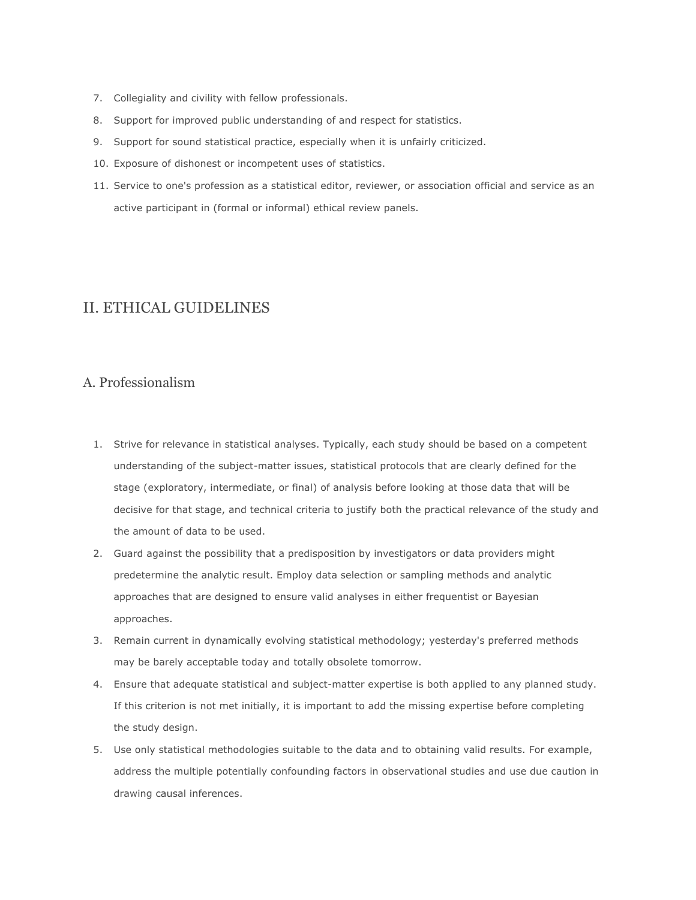- 7. Collegiality and civility with fellow professionals.
- 8. Support for improved public understanding of and respect for statistics.
- 9. Support for sound statistical practice, especially when it is unfairly criticized.
- 10. Exposure of dishonest or incompetent uses of statistics.
- 11. Service to one's profession as a statistical editor, reviewer, or association official and service as an active participant in (formal or informal) ethical review panels.

### II. ETHICAL GUIDELINES

### A. Professionalism

- 1. Strive for relevance in statistical analyses. Typically, each study should be based on a competent understanding of the subject-matter issues, statistical protocols that are clearly defined for the stage (exploratory, intermediate, or final) of analysis before looking at those data that will be decisive for that stage, and technical criteria to justify both the practical relevance of the study and the amount of data to be used.
- 2. Guard against the possibility that a predisposition by investigators or data providers might predetermine the analytic result. Employ data selection or sampling methods and analytic approaches that are designed to ensure valid analyses in either frequentist or Bayesian approaches.
- 3. Remain current in dynamically evolving statistical methodology; yesterday's preferred methods may be barely acceptable today and totally obsolete tomorrow.
- 4. Ensure that adequate statistical and subject-matter expertise is both applied to any planned study. If this criterion is not met initially, it is important to add the missing expertise before completing the study design.
- 5. Use only statistical methodologies suitable to the data and to obtaining valid results. For example, address the multiple potentially confounding factors in observational studies and use due caution in drawing causal inferences.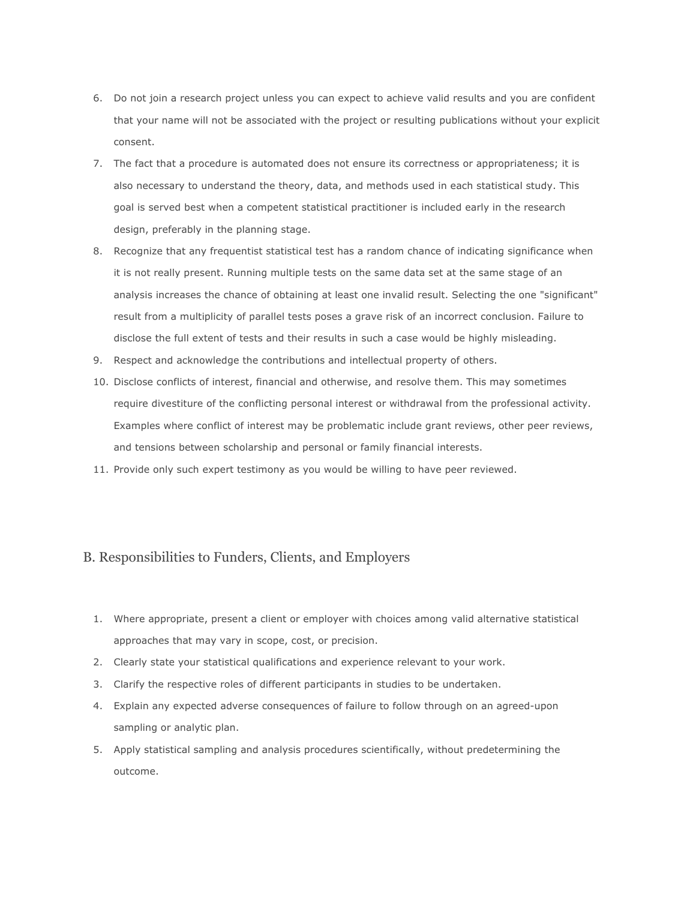- 6. Do not join a research project unless you can expect to achieve valid results and you are confident that your name will not be associated with the project or resulting publications without your explicit consent.
- 7. The fact that a procedure is automated does not ensure its correctness or appropriateness; it is also necessary to understand the theory, data, and methods used in each statistical study. This goal is served best when a competent statistical practitioner is included early in the research design, preferably in the planning stage.
- 8. Recognize that any frequentist statistical test has a random chance of indicating significance when it is not really present. Running multiple tests on the same data set at the same stage of an analysis increases the chance of obtaining at least one invalid result. Selecting the one "significant" result from a multiplicity of parallel tests poses a grave risk of an incorrect conclusion. Failure to disclose the full extent of tests and their results in such a case would be highly misleading.
- 9. Respect and acknowledge the contributions and intellectual property of others.
- 10. Disclose conflicts of interest, financial and otherwise, and resolve them. This may sometimes require divestiture of the conflicting personal interest or withdrawal from the professional activity. Examples where conflict of interest may be problematic include grant reviews, other peer reviews, and tensions between scholarship and personal or family financial interests.
- 11. Provide only such expert testimony as you would be willing to have peer reviewed.

### B. Responsibilities to Funders, Clients, and Employers

- 1. Where appropriate, present a client or employer with choices among valid alternative statistical approaches that may vary in scope, cost, or precision.
- 2. Clearly state your statistical qualifications and experience relevant to your work.
- 3. Clarify the respective roles of different participants in studies to be undertaken.
- 4. Explain any expected adverse consequences of failure to follow through on an agreed-upon sampling or analytic plan.
- 5. Apply statistical sampling and analysis procedures scientifically, without predetermining the outcome.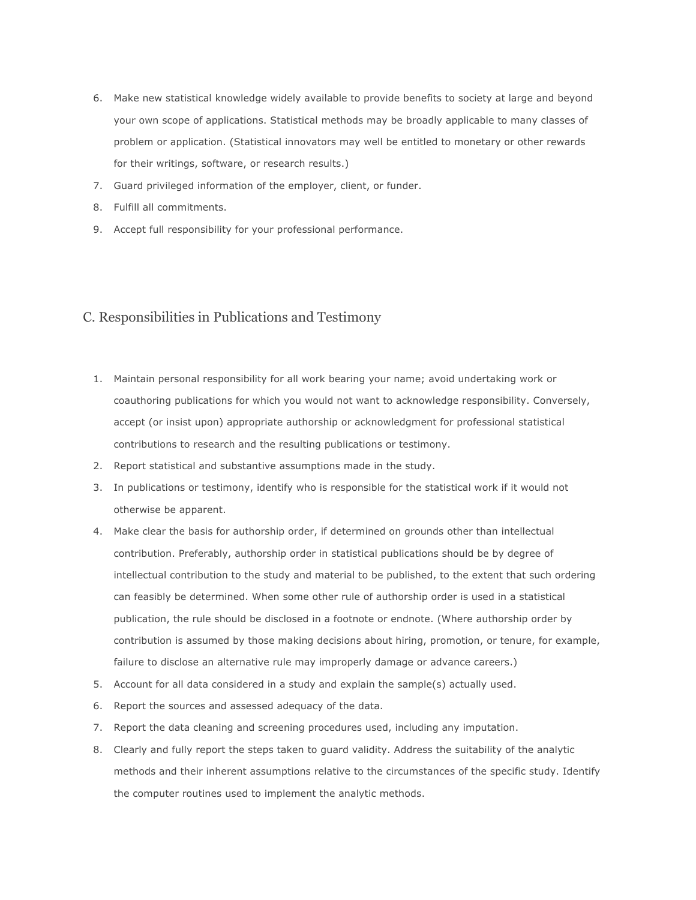- 6. Make new statistical knowledge widely available to provide benefits to society at large and beyond your own scope of applications. Statistical methods may be broadly applicable to many classes of problem or application. (Statistical innovators may well be entitled to monetary or other rewards for their writings, software, or research results.)
- 7. Guard privileged information of the employer, client, or funder.
- 8. Fulfill all commitments.
- 9. Accept full responsibility for your professional performance.

### C. Responsibilities in Publications and Testimony

- 1. Maintain personal responsibility for all work bearing your name; avoid undertaking work or coauthoring publications for which you would not want to acknowledge responsibility. Conversely, accept (or insist upon) appropriate authorship or acknowledgment for professional statistical contributions to research and the resulting publications or testimony.
- 2. Report statistical and substantive assumptions made in the study.
- 3. In publications or testimony, identify who is responsible for the statistical work if it would not otherwise be apparent.
- 4. Make clear the basis for authorship order, if determined on grounds other than intellectual contribution. Preferably, authorship order in statistical publications should be by degree of intellectual contribution to the study and material to be published, to the extent that such ordering can feasibly be determined. When some other rule of authorship order is used in a statistical publication, the rule should be disclosed in a footnote or endnote. (Where authorship order by contribution is assumed by those making decisions about hiring, promotion, or tenure, for example, failure to disclose an alternative rule may improperly damage or advance careers.)
- 5. Account for all data considered in a study and explain the sample(s) actually used.
- 6. Report the sources and assessed adequacy of the data.
- 7. Report the data cleaning and screening procedures used, including any imputation.
- 8. Clearly and fully report the steps taken to guard validity. Address the suitability of the analytic methods and their inherent assumptions relative to the circumstances of the specific study. Identify the computer routines used to implement the analytic methods.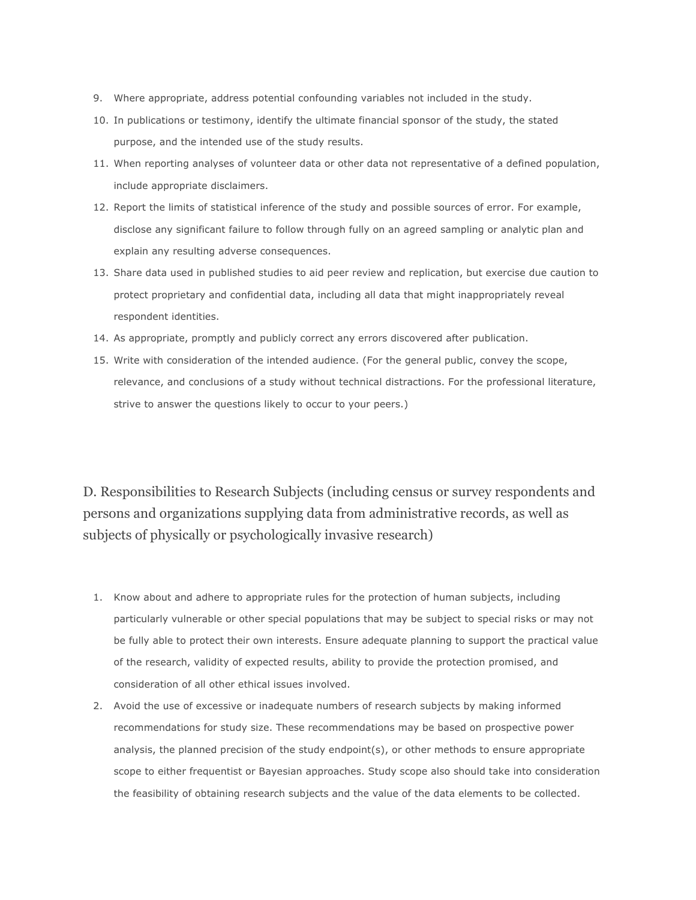- 9. Where appropriate, address potential confounding variables not included in the study.
- 10. In publications or testimony, identify the ultimate financial sponsor of the study, the stated purpose, and the intended use of the study results.
- 11. When reporting analyses of volunteer data or other data not representative of a defined population, include appropriate disclaimers.
- 12. Report the limits of statistical inference of the study and possible sources of error. For example, disclose any significant failure to follow through fully on an agreed sampling or analytic plan and explain any resulting adverse consequences.
- 13. Share data used in published studies to aid peer review and replication, but exercise due caution to protect proprietary and confidential data, including all data that might inappropriately reveal respondent identities.
- 14. As appropriate, promptly and publicly correct any errors discovered after publication.
- 15. Write with consideration of the intended audience. (For the general public, convey the scope, relevance, and conclusions of a study without technical distractions. For the professional literature, strive to answer the questions likely to occur to your peers.)

D. Responsibilities to Research Subjects (including census or survey respondents and persons and organizations supplying data from administrative records, as well as subjects of physically or psychologically invasive research)

- 1. Know about and adhere to appropriate rules for the protection of human subjects, including particularly vulnerable or other special populations that may be subject to special risks or may not be fully able to protect their own interests. Ensure adequate planning to support the practical value of the research, validity of expected results, ability to provide the protection promised, and consideration of all other ethical issues involved.
- 2. Avoid the use of excessive or inadequate numbers of research subjects by making informed recommendations for study size. These recommendations may be based on prospective power analysis, the planned precision of the study endpoint(s), or other methods to ensure appropriate scope to either frequentist or Bayesian approaches. Study scope also should take into consideration the feasibility of obtaining research subjects and the value of the data elements to be collected.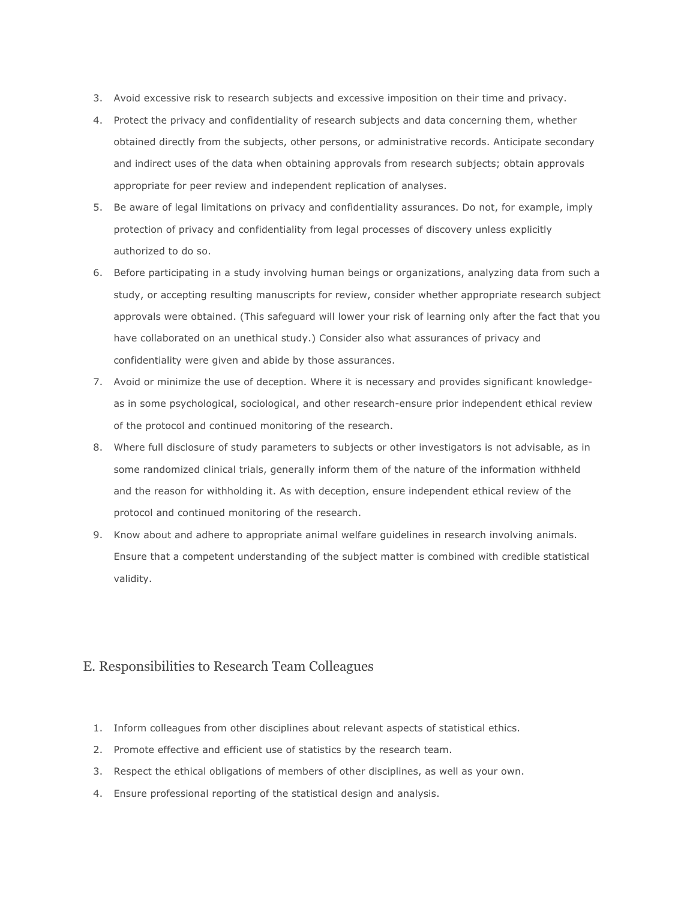- 3. Avoid excessive risk to research subjects and excessive imposition on their time and privacy.
- 4. Protect the privacy and confidentiality of research subjects and data concerning them, whether obtained directly from the subjects, other persons, or administrative records. Anticipate secondary and indirect uses of the data when obtaining approvals from research subjects; obtain approvals appropriate for peer review and independent replication of analyses.
- 5. Be aware of legal limitations on privacy and confidentiality assurances. Do not, for example, imply protection of privacy and confidentiality from legal processes of discovery unless explicitly authorized to do so.
- 6. Before participating in a study involving human beings or organizations, analyzing data from such a study, or accepting resulting manuscripts for review, consider whether appropriate research subject approvals were obtained. (This safeguard will lower your risk of learning only after the fact that you have collaborated on an unethical study.) Consider also what assurances of privacy and confidentiality were given and abide by those assurances.
- 7. Avoid or minimize the use of deception. Where it is necessary and provides significant knowledgeas in some psychological, sociological, and other research-ensure prior independent ethical review of the protocol and continued monitoring of the research.
- 8. Where full disclosure of study parameters to subjects or other investigators is not advisable, as in some randomized clinical trials, generally inform them of the nature of the information withheld and the reason for withholding it. As with deception, ensure independent ethical review of the protocol and continued monitoring of the research.
- 9. Know about and adhere to appropriate animal welfare guidelines in research involving animals. Ensure that a competent understanding of the subject matter is combined with credible statistical validity.

### E. Responsibilities to Research Team Colleagues

- 1. Inform colleagues from other disciplines about relevant aspects of statistical ethics.
- 2. Promote effective and efficient use of statistics by the research team.
- 3. Respect the ethical obligations of members of other disciplines, as well as your own.
- 4. Ensure professional reporting of the statistical design and analysis.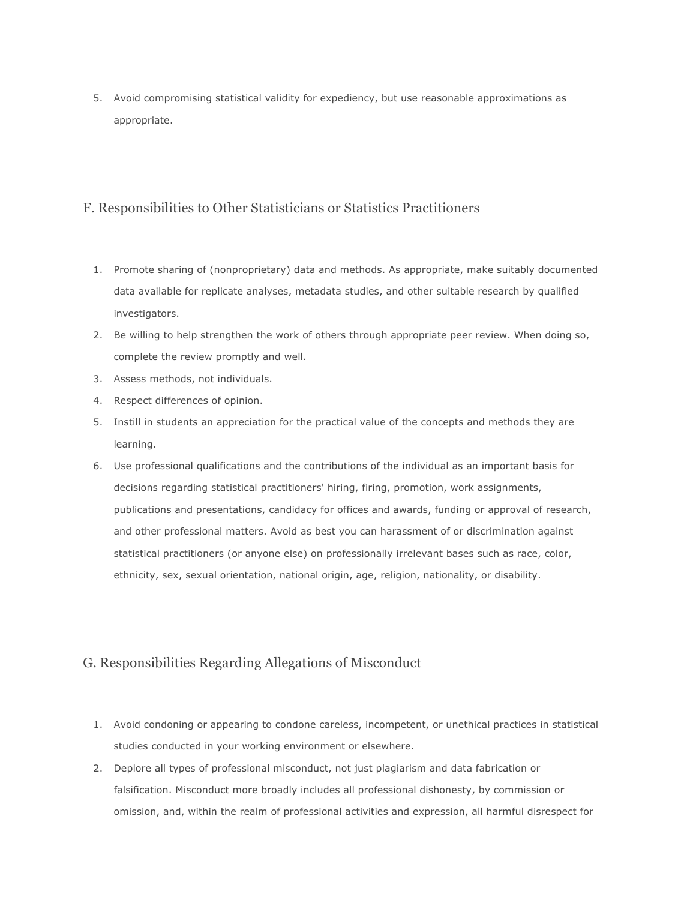5. Avoid compromising statistical validity for expediency, but use reasonable approximations as appropriate.

### F. Responsibilities to Other Statisticians or Statistics Practitioners

- 1. Promote sharing of (nonproprietary) data and methods. As appropriate, make suitably documented data available for replicate analyses, metadata studies, and other suitable research by qualified investigators.
- 2. Be willing to help strengthen the work of others through appropriate peer review. When doing so, complete the review promptly and well.
- 3. Assess methods, not individuals.
- 4. Respect differences of opinion.
- 5. Instill in students an appreciation for the practical value of the concepts and methods they are learning.
- 6. Use professional qualifications and the contributions of the individual as an important basis for decisions regarding statistical practitioners' hiring, firing, promotion, work assignments, publications and presentations, candidacy for offices and awards, funding or approval of research, and other professional matters. Avoid as best you can harassment of or discrimination against statistical practitioners (or anyone else) on professionally irrelevant bases such as race, color, ethnicity, sex, sexual orientation, national origin, age, religion, nationality, or disability.

### G. Responsibilities Regarding Allegations of Misconduct

- 1. Avoid condoning or appearing to condone careless, incompetent, or unethical practices in statistical studies conducted in your working environment or elsewhere.
- 2. Deplore all types of professional misconduct, not just plagiarism and data fabrication or falsification. Misconduct more broadly includes all professional dishonesty, by commission or omission, and, within the realm of professional activities and expression, all harmful disrespect for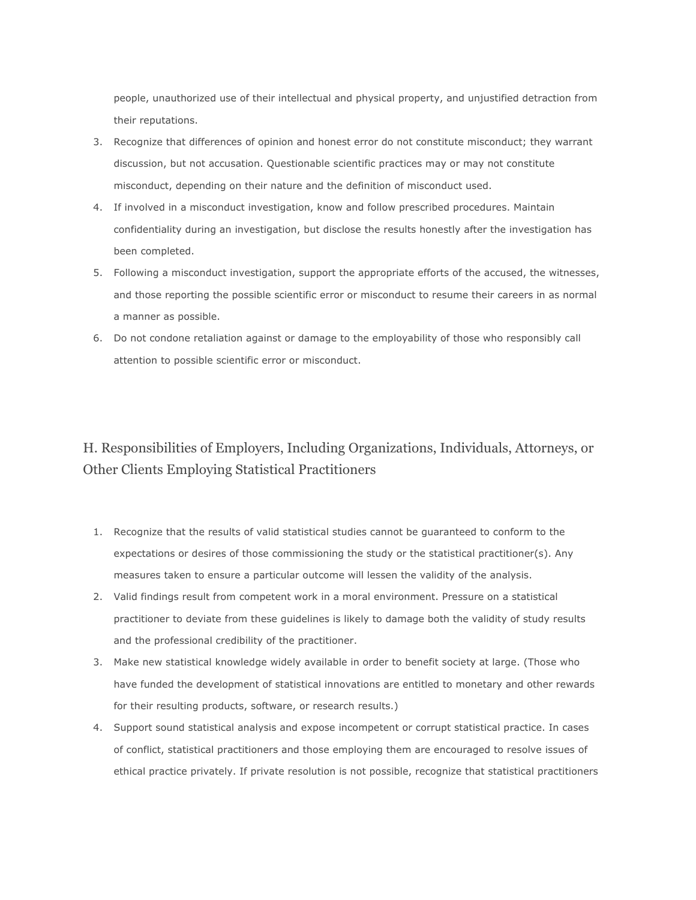people, unauthorized use of their intellectual and physical property, and unjustified detraction from their reputations.

- 3. Recognize that differences of opinion and honest error do not constitute misconduct; they warrant discussion, but not accusation. Questionable scientific practices may or may not constitute misconduct, depending on their nature and the definition of misconduct used.
- 4. If involved in a misconduct investigation, know and follow prescribed procedures. Maintain confidentiality during an investigation, but disclose the results honestly after the investigation has been completed.
- 5. Following a misconduct investigation, support the appropriate efforts of the accused, the witnesses, and those reporting the possible scientific error or misconduct to resume their careers in as normal a manner as possible.
- 6. Do not condone retaliation against or damage to the employability of those who responsibly call attention to possible scientific error or misconduct.

# H. Responsibilities of Employers, Including Organizations, Individuals, Attorneys, or Other Clients Employing Statistical Practitioners

- 1. Recognize that the results of valid statistical studies cannot be guaranteed to conform to the expectations or desires of those commissioning the study or the statistical practitioner(s). Any measures taken to ensure a particular outcome will lessen the validity of the analysis.
- 2. Valid findings result from competent work in a moral environment. Pressure on a statistical practitioner to deviate from these guidelines is likely to damage both the validity of study results and the professional credibility of the practitioner.
- 3. Make new statistical knowledge widely available in order to benefit society at large. (Those who have funded the development of statistical innovations are entitled to monetary and other rewards for their resulting products, software, or research results.)
- 4. Support sound statistical analysis and expose incompetent or corrupt statistical practice. In cases of conflict, statistical practitioners and those employing them are encouraged to resolve issues of ethical practice privately. If private resolution is not possible, recognize that statistical practitioners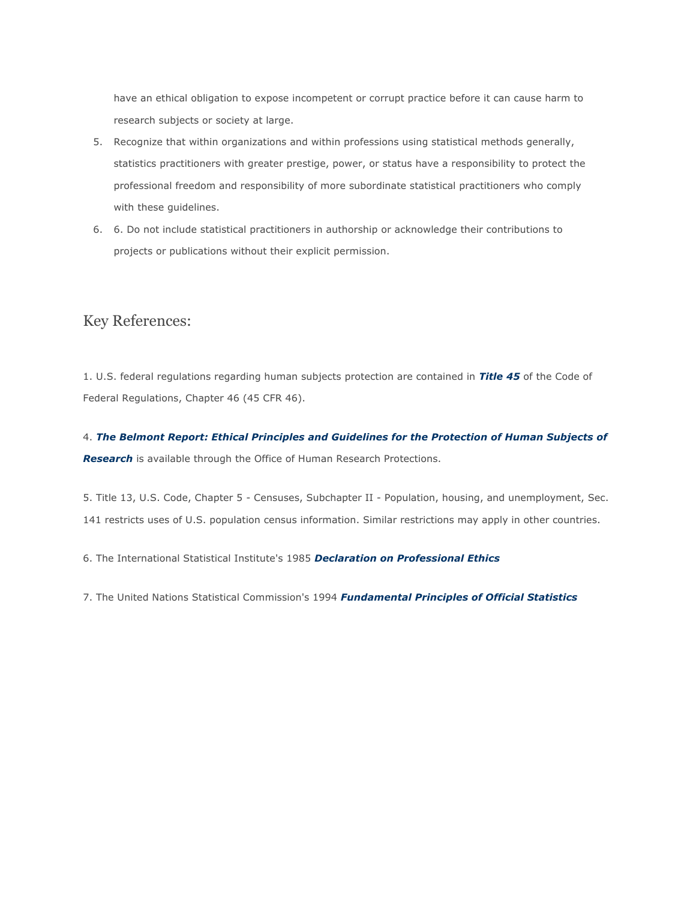have an ethical obligation to expose incompetent or corrupt practice before it can cause harm to research subjects or society at large.

- 5. Recognize that within organizations and within professions using statistical methods generally, statistics practitioners with greater prestige, power, or status have a responsibility to protect the professional freedom and responsibility of more subordinate statistical practitioners who comply with these guidelines.
- 6. 6. Do not include statistical practitioners in authorship or acknowledge their contributions to projects or publications without their explicit permission.

### Key References:

1. U.S. federal regulations regarding human subjects protection are contained in *Title 45* of the Code of Federal Regulations, Chapter 46 (45 CFR 46).

4. *The Belmont Report: Ethical Principles and Guidelines for the Protection of Human Subjects of Research* is available through the Office of Human Research Protections.

5. Title 13, U.S. Code, Chapter 5 - Censuses, Subchapter II - Population, housing, and unemployment, Sec. 141 restricts uses of U.S. population census information. Similar restrictions may apply in other countries.

6. The International Statistical Institute's 1985 *Declaration on Professional Ethics*

7. The United Nations Statistical Commission's 1994 *Fundamental Principles of Official Statistics*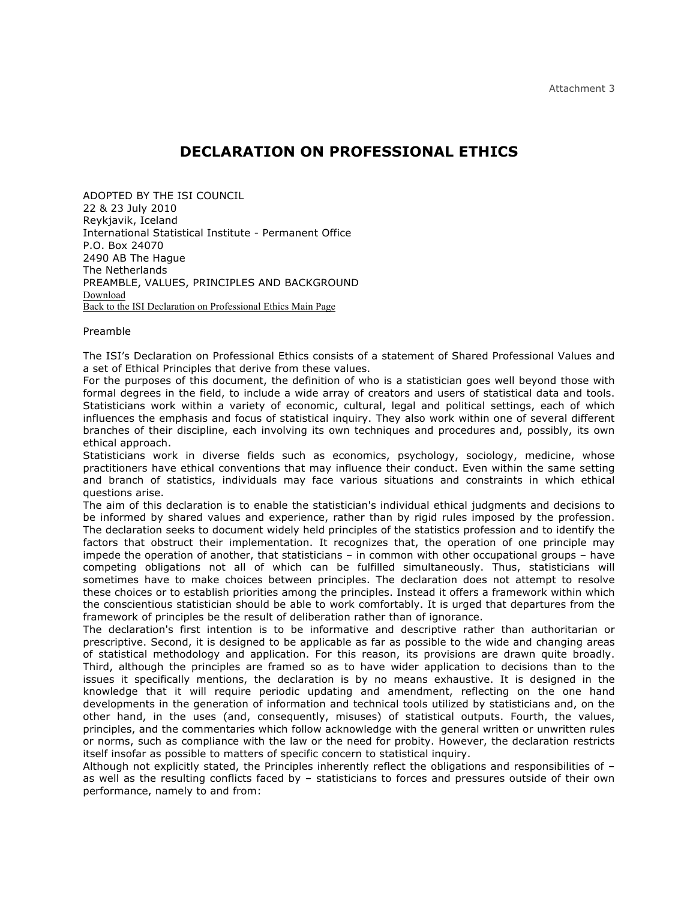### **DECLARATION ON PROFESSIONAL ETHICS**

ADOPTED BY THE ISI COUNCIL 22 & 23 July 2010 Reykjavik, Iceland International Statistical Institute - Permanent Office P.O. Box 24070 2490 AB The Hague The Netherlands PREAMBLE, VALUES, PRINCIPLES AND BACKGROUND Download Back to the ISI Declaration on Professional Ethics Main Page

#### Preamble

The ISI's Declaration on Professional Ethics consists of a statement of Shared Professional Values and a set of Ethical Principles that derive from these values.

For the purposes of this document, the definition of who is a statistician goes well beyond those with formal degrees in the field, to include a wide array of creators and users of statistical data and tools. Statisticians work within a variety of economic, cultural, legal and political settings, each of which influences the emphasis and focus of statistical inquiry. They also work within one of several different branches of their discipline, each involving its own techniques and procedures and, possibly, its own ethical approach.

Statisticians work in diverse fields such as economics, psychology, sociology, medicine, whose practitioners have ethical conventions that may influence their conduct. Even within the same setting and branch of statistics, individuals may face various situations and constraints in which ethical questions arise.

The aim of this declaration is to enable the statistician's individual ethical judgments and decisions to be informed by shared values and experience, rather than by rigid rules imposed by the profession. The declaration seeks to document widely held principles of the statistics profession and to identify the factors that obstruct their implementation. It recognizes that, the operation of one principle may impede the operation of another, that statisticians – in common with other occupational groups – have competing obligations not all of which can be fulfilled simultaneously. Thus, statisticians will sometimes have to make choices between principles. The declaration does not attempt to resolve these choices or to establish priorities among the principles. Instead it offers a framework within which the conscientious statistician should be able to work comfortably. It is urged that departures from the framework of principles be the result of deliberation rather than of ignorance.

The declaration's first intention is to be informative and descriptive rather than authoritarian or prescriptive. Second, it is designed to be applicable as far as possible to the wide and changing areas of statistical methodology and application. For this reason, its provisions are drawn quite broadly. Third, although the principles are framed so as to have wider application to decisions than to the issues it specifically mentions, the declaration is by no means exhaustive. It is designed in the knowledge that it will require periodic updating and amendment, reflecting on the one hand developments in the generation of information and technical tools utilized by statisticians and, on the other hand, in the uses (and, consequently, misuses) of statistical outputs. Fourth, the values, principles, and the commentaries which follow acknowledge with the general written or unwritten rules or norms, such as compliance with the law or the need for probity. However, the declaration restricts itself insofar as possible to matters of specific concern to statistical inquiry.

Although not explicitly stated, the Principles inherently reflect the obligations and responsibilities of – as well as the resulting conflicts faced by – statisticians to forces and pressures outside of their own performance, namely to and from: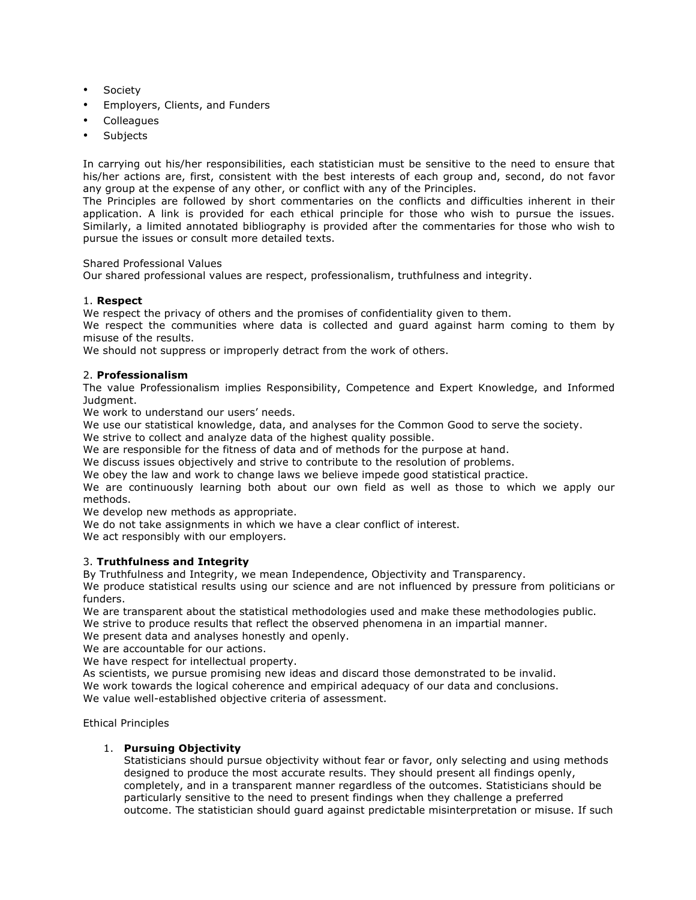- Society
- Employers, Clients, and Funders
- Colleagues
- **Subjects**

In carrying out his/her responsibilities, each statistician must be sensitive to the need to ensure that his/her actions are, first, consistent with the best interests of each group and, second, do not favor any group at the expense of any other, or conflict with any of the Principles.

The Principles are followed by short commentaries on the conflicts and difficulties inherent in their application. A link is provided for each ethical principle for those who wish to pursue the issues. Similarly, a limited annotated bibliography is provided after the commentaries for those who wish to pursue the issues or consult more detailed texts.

Shared Professional Values

Our shared professional values are respect, professionalism, truthfulness and integrity.

#### 1. **Respect**

We respect the privacy of others and the promises of confidentiality given to them.

We respect the communities where data is collected and guard against harm coming to them by misuse of the results.

We should not suppress or improperly detract from the work of others.

#### 2. **Professionalism**

The value Professionalism implies Responsibility, Competence and Expert Knowledge, and Informed Judgment.

We work to understand our users' needs.

We use our statistical knowledge, data, and analyses for the Common Good to serve the society.

We strive to collect and analyze data of the highest quality possible.

We are responsible for the fitness of data and of methods for the purpose at hand.

We discuss issues objectively and strive to contribute to the resolution of problems.

We obey the law and work to change laws we believe impede good statistical practice.

We are continuously learning both about our own field as well as those to which we apply our methods.

We develop new methods as appropriate.

We do not take assignments in which we have a clear conflict of interest.

We act responsibly with our employers.

#### 3. **Truthfulness and Integrity**

By Truthfulness and Integrity, we mean Independence, Objectivity and Transparency.

We produce statistical results using our science and are not influenced by pressure from politicians or funders.

We are transparent about the statistical methodologies used and make these methodologies public. We strive to produce results that reflect the observed phenomena in an impartial manner.

We present data and analyses honestly and openly.

We are accountable for our actions.

We have respect for intellectual property.

As scientists, we pursue promising new ideas and discard those demonstrated to be invalid. We work towards the logical coherence and empirical adequacy of our data and conclusions. We value well-established objective criteria of assessment.

Ethical Principles

#### 1. **Pursuing Objectivity**

Statisticians should pursue objectivity without fear or favor, only selecting and using methods designed to produce the most accurate results. They should present all findings openly, completely, and in a transparent manner regardless of the outcomes. Statisticians should be particularly sensitive to the need to present findings when they challenge a preferred outcome. The statistician should guard against predictable misinterpretation or misuse. If such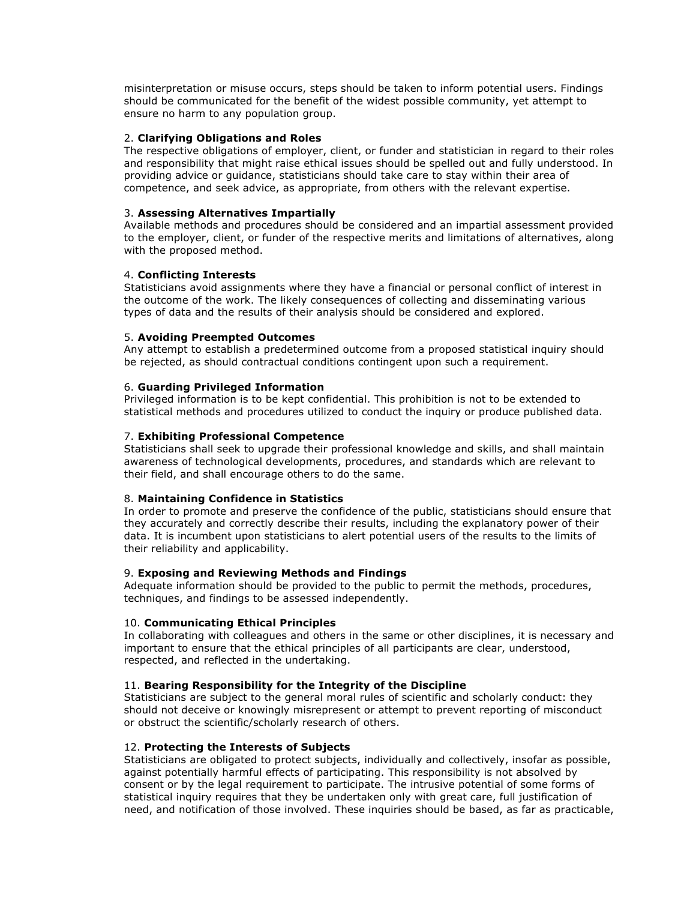misinterpretation or misuse occurs, steps should be taken to inform potential users. Findings should be communicated for the benefit of the widest possible community, yet attempt to ensure no harm to any population group.

#### 2. **Clarifying Obligations and Roles**

The respective obligations of employer, client, or funder and statistician in regard to their roles and responsibility that might raise ethical issues should be spelled out and fully understood. In providing advice or guidance, statisticians should take care to stay within their area of competence, and seek advice, as appropriate, from others with the relevant expertise.

#### 3. **Assessing Alternatives Impartially**

Available methods and procedures should be considered and an impartial assessment provided to the employer, client, or funder of the respective merits and limitations of alternatives, along with the proposed method.

#### 4. **Conflicting Interests**

Statisticians avoid assignments where they have a financial or personal conflict of interest in the outcome of the work. The likely consequences of collecting and disseminating various types of data and the results of their analysis should be considered and explored.

#### 5. **Avoiding Preempted Outcomes**

Any attempt to establish a predetermined outcome from a proposed statistical inquiry should be rejected, as should contractual conditions contingent upon such a requirement.

#### 6. **Guarding Privileged Information**

Privileged information is to be kept confidential. This prohibition is not to be extended to statistical methods and procedures utilized to conduct the inquiry or produce published data.

#### 7. **Exhibiting Professional Competence**

Statisticians shall seek to upgrade their professional knowledge and skills, and shall maintain awareness of technological developments, procedures, and standards which are relevant to their field, and shall encourage others to do the same.

#### 8. **Maintaining Confidence in Statistics**

In order to promote and preserve the confidence of the public, statisticians should ensure that they accurately and correctly describe their results, including the explanatory power of their data. It is incumbent upon statisticians to alert potential users of the results to the limits of their reliability and applicability.

#### 9. **Exposing and Reviewing Methods and Findings**

Adequate information should be provided to the public to permit the methods, procedures, techniques, and findings to be assessed independently.

#### 10. **Communicating Ethical Principles**

In collaborating with colleagues and others in the same or other disciplines, it is necessary and important to ensure that the ethical principles of all participants are clear, understood, respected, and reflected in the undertaking.

#### 11. **Bearing Responsibility for the Integrity of the Discipline**

Statisticians are subject to the general moral rules of scientific and scholarly conduct: they should not deceive or knowingly misrepresent or attempt to prevent reporting of misconduct or obstruct the scientific/scholarly research of others.

#### 12. **Protecting the Interests of Subjects**

Statisticians are obligated to protect subjects, individually and collectively, insofar as possible, against potentially harmful effects of participating. This responsibility is not absolved by consent or by the legal requirement to participate. The intrusive potential of some forms of statistical inquiry requires that they be undertaken only with great care, full justification of need, and notification of those involved. These inquiries should be based, as far as practicable,